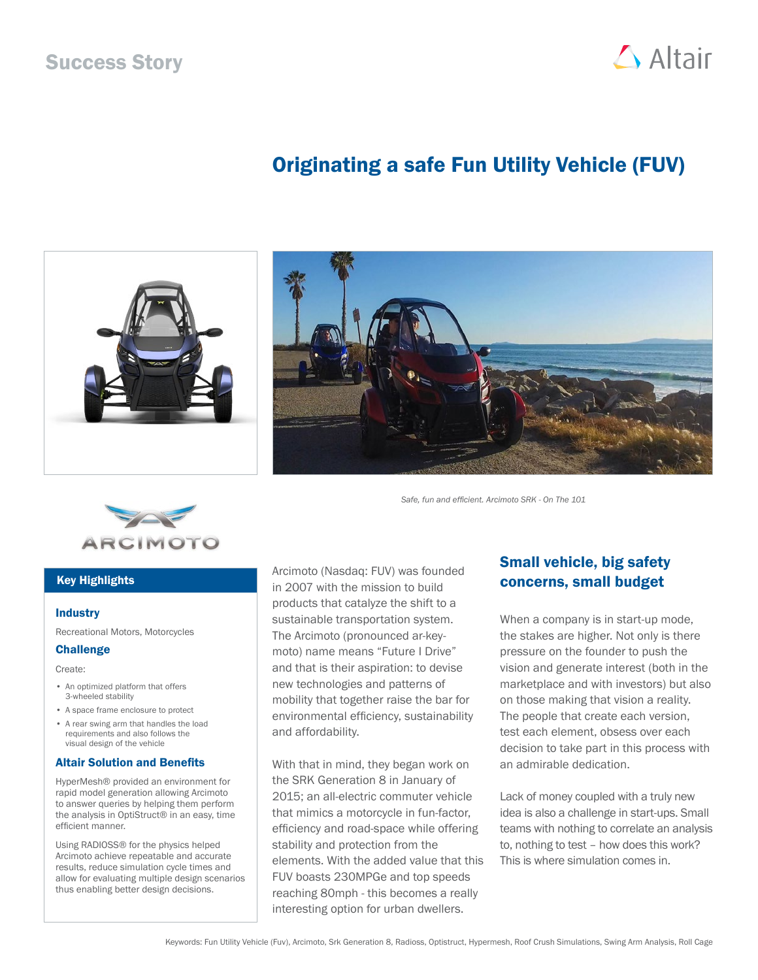## Success Story



# Originating a safe Fun Utility Vehicle (FUV)





*Safe, fun and efficient. Arcimoto SRK - On The 101*



### Key Highlights

#### **Industry**

Recreational Motors, Motorcycles

### Challenge

Create:

- An optimized platform that offers 3-wheeled stability
- A space frame enclosure to protect
- A rear swing arm that handles the load requirements and also follows the visual design of the vehicle

#### Altair Solution and Benefits

HyperMesh® provided an environment for rapid model generation allowing Arcimoto to answer queries by helping them perform the analysis in OptiStruct® in an easy, time efficient manner.

Using RADIOSS® for the physics helped Arcimoto achieve repeatable and accurate results, reduce simulation cycle times and allow for evaluating multiple design scenarios thus enabling better design decisions.

Arcimoto (Nasdaq: FUV) was founded in 2007 with the mission to build products that catalyze the shift to a sustainable transportation system. The Arcimoto (pronounced ar-keymoto) name means "Future I Drive" and that is their aspiration: to devise new technologies and patterns of mobility that together raise the bar for environmental efficiency, sustainability and affordability.

With that in mind, they began work on the SRK Generation 8 in January of 2015; an all-electric commuter vehicle that mimics a motorcycle in fun-factor, efficiency and road-space while offering stability and protection from the elements. With the added value that this FUV boasts 230MPGe and top speeds reaching 80mph - this becomes a really interesting option for urban dwellers.

## Small vehicle, big safety concerns, small budget

When a company is in start-up mode, the stakes are higher. Not only is there pressure on the founder to push the vision and generate interest (both in the marketplace and with investors) but also on those making that vision a reality. The people that create each version, test each element, obsess over each decision to take part in this process with an admirable dedication.

Lack of money coupled with a truly new idea is also a challenge in start-ups. Small teams with nothing to correlate an analysis to, nothing to test – how does this work? This is where simulation comes in.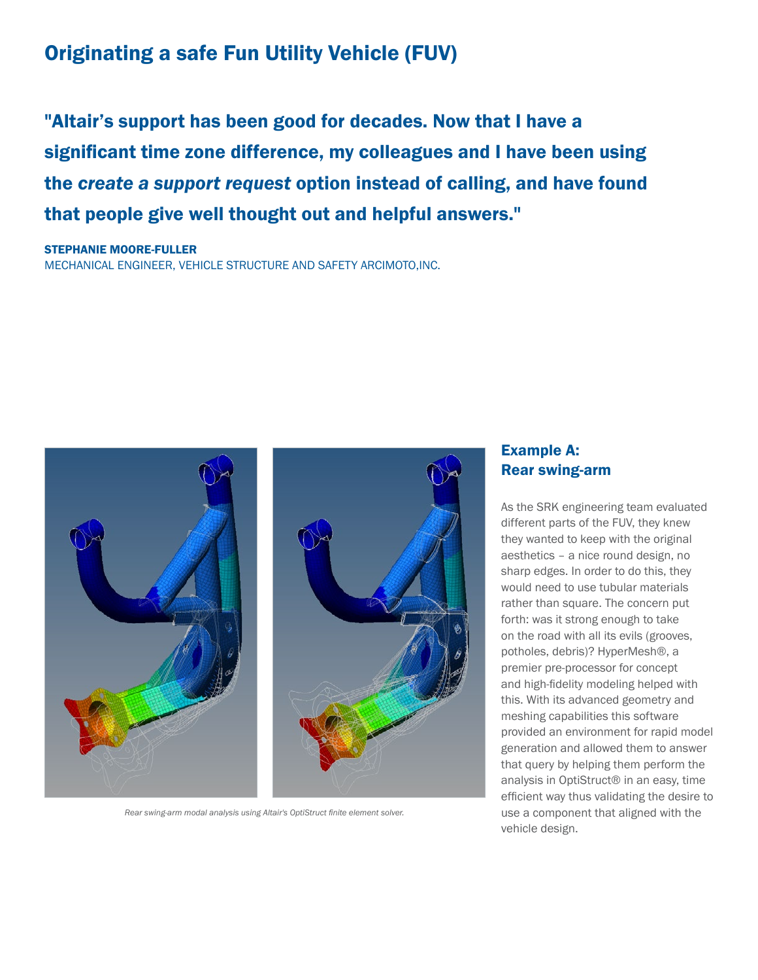# Originating a safe Fun Utility Vehicle (FUV)

"Altair's support has been good for decades. Now that I have a significant time zone difference, my colleagues and I have been using the *create a support request* option instead of calling, and have found that people give well thought out and helpful answers."

STEPHANIE MOORE-FULLER MECHANICAL ENGINEER, VEHICLE STRUCTURE AND SAFETY ARCIMOTO,INC.



*Rear swing-arm modal analysis using Altair's OptiStruct finite element solver.*

### Example A: Rear swing-arm

As the SRK engineering team evaluated different parts of the FUV, they knew they wanted to keep with the original aesthetics – a nice round design, no sharp edges. In order to do this, they would need to use tubular materials rather than square. The concern put forth: was it strong enough to take on the road with all its evils (grooves, potholes, debris)? HyperMesh®, a premier pre-processor for concept and high-fidelity modeling helped with this. With its advanced geometry and meshing capabilities this software provided an environment for rapid model generation and allowed them to answer that query by helping them perform the analysis in OptiStruct® in an easy, time efficient way thus validating the desire to use a component that aligned with the vehicle design.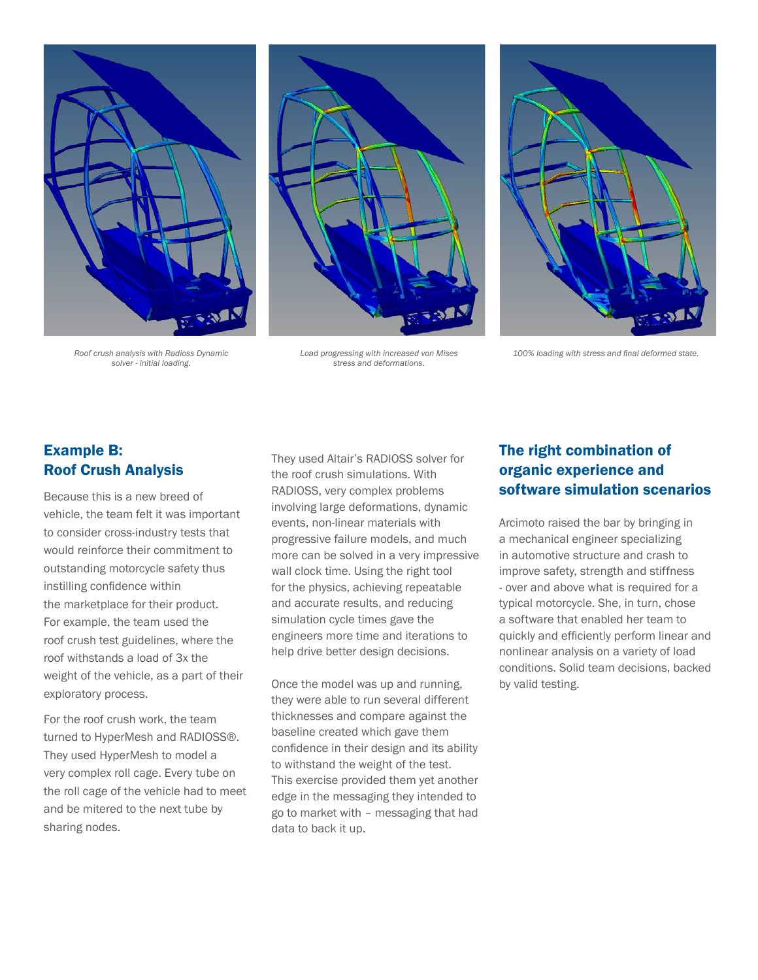



*Roof crush analysis with Radioss Dynamic solver - initial loading.*

*Load progressing with increased von Mises stress and deformations.*

*100% loading with stress and final deformed state.*

## Example B: Roof Crush Analysis

Because this is a new breed of vehicle, the team felt it was important to consider cross-industry tests that would reinforce their commitment to outstanding motorcycle safety thus instilling confidence within the marketplace for their product. For example, the team used the roof crush test guidelines, where the roof withstands a load of 3x the weight of the vehicle, as a part of their exploratory process.

For the roof crush work, the team turned to HyperMesh and RADIOSS®. They used HyperMesh to model a very complex roll cage. Every tube on the roll cage of the vehicle had to meet and be mitered to the next tube by sharing nodes.

They used Altair's RADIOSS solver for the roof crush simulations. With RADIOSS, very complex problems involving large deformations, dynamic events, non-linear materials with progressive failure models, and much more can be solved in a very impressive wall clock time. Using the right tool for the physics, achieving repeatable and accurate results, and reducing simulation cycle times gave the engineers more time and iterations to help drive better design decisions.

Once the model was up and running, they were able to run several different thicknesses and compare against the baseline created which gave them confidence in their design and its ability to withstand the weight of the test. This exercise provided them yet another edge in the messaging they intended to go to market with – messaging that had data to back it up.

## The right combination of organic experience and software simulation scenarios

Arcimoto raised the bar by bringing in a mechanical engineer specializing in automotive structure and crash to improve safety, strength and stiffness - over and above what is required for a typical motorcycle. She, in turn, chose a software that enabled her team to quickly and efficiently perform linear and nonlinear analysis on a variety of load conditions. Solid team decisions, backed by valid testing.